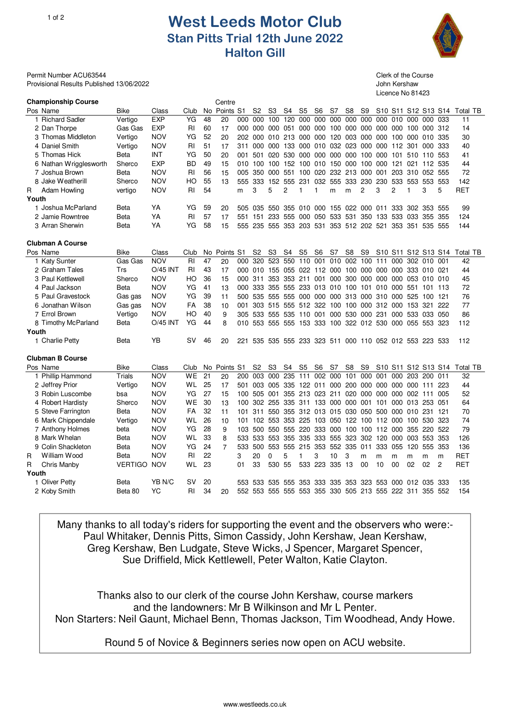## 1of 2 **West Leeds Motor Club Stan Pitts Trial 12th June 2022 Halton Gill**



Licence No 81423

Permit Number ACU63544 Clerk of the Course Clerk of the Course Provisional Results Published 13/06/2022 John Kershaw

| <b>Championship Course</b> |                    |                 |           |     | Centre         |     |                                                         |                |                  |         |                             |         |                |                     |         |                |                |                                                     |                                                                                 |                 |
|----------------------------|--------------------|-----------------|-----------|-----|----------------|-----|---------------------------------------------------------|----------------|------------------|---------|-----------------------------|---------|----------------|---------------------|---------|----------------|----------------|-----------------------------------------------------|---------------------------------------------------------------------------------|-----------------|
| Pos Name                   | Bike               | Class           | Club      |     | No Points      | -S1 | S2                                                      | S3             | S4               | S5      | S6                          | S7      | S8             | S9                  |         |                |                |                                                     | S <sub>10</sub> S <sub>11</sub> S <sub>12</sub> S <sub>13</sub> S <sub>14</sub> | Total TB        |
| 1 Richard Sadler           | Vertigo            | <b>EXP</b>      | YG        | 48  | 20             | 000 | 000                                                     | 100            | 120              | 000     | 000                         | 000     | 000            | 000                 | 000     | 010            | 000            | 000                                                 | 033                                                                             | 11              |
| 2 Dan Thorpe               | Gas Gas            | <b>EXP</b>      | <b>RI</b> | 60  | 17             | 000 | 000                                                     | 000            | 051              | 000     | 000                         | 100     | 000            | 000                 | 000     | 000            |                | 100 000 312                                         |                                                                                 | 14              |
| 3 Thomas Middleton         | Vertigo            | <b>NOV</b>      | YG        | 52  | 20             | 202 | 000                                                     |                | 010 213          | 000     | 000                         | 120     | 003            |                     | 000 000 | 100            |                | 000 010 335                                         |                                                                                 | 30              |
| 4 Daniel Smith             | Vertigo            | <b>NOV</b>      | <b>RI</b> | 51  | 17             | 311 | 000                                                     | 000            | 133              | 000     | 010                         | 032 023 |                | 000                 | 000     | 112            | 301            | 000                                                 | 333                                                                             | 40              |
| 5 Thomas Hick              | Beta               | INT             | YG        | 50  | 20             | 001 | 501                                                     | 020            | 530              | 000     | 000                         | 000     | 000            | 100                 | 000     | 101            | 510            | 110                                                 | 553                                                                             | 41              |
| 6 Nathan Wrigglesworth     | Sherco             | <b>EXP</b>      | BD        | 49  | 15             | 010 | 100                                                     | 100            | 152              | 100     | 010                         | 150     | 000            | 100                 | 000     | 121            | 021            | 112 535                                             |                                                                                 | 44              |
| 7 Joshua Brown             | <b>Beta</b>        | <b>NOV</b>      | RI        | 56  | 15             | 005 | 350                                                     | 000            | 551              | 100     | 020                         | 232     | 213            | 000                 | 001     | 203            | 310            | 052 555                                             |                                                                                 | 72              |
| 8 Jake Weatherill          | Sherco             | <b>NOV</b>      | HO        | 55  | 13             | 555 | 333                                                     | 152            | 555              | 231     | 032                         | 555     | 333            | 230                 | 230     | 533            | 553            | 553                                                 | 553                                                                             | 142             |
| Adam Howling<br>R          | vertigo            | <b>NOV</b>      | <b>RI</b> | 54  |                | m   | 3                                                       | 5              | 2                | 1       | 1                           | m       | m              | $\overline{c}$      | 3       | $\overline{c}$ | $\overline{1}$ | 3                                                   | 5                                                                               | <b>RET</b>      |
| Youth                      |                    |                 |           |     |                |     |                                                         |                |                  |         |                             |         |                |                     |         |                |                |                                                     |                                                                                 |                 |
| 1 Joshua McParland         | <b>Beta</b>        | YA              | YG        | 59  | 20             | 505 | 035                                                     | 550            | 355              | 010     | 000                         | 155     | 022            | 000                 | 011     | 333            | 302            | 353                                                 | 555                                                                             | 99              |
| 2 Jamie Rowntree           | Beta               | YA              | RI        | 57  | 17             | 551 | 151                                                     | 233            | 555              | 000     | 050                         | 533     | 531            | 350                 | 133     | 533            | 033            | 355                                                 | 355                                                                             | 124             |
| 3 Arran Sherwin            | Beta               | YA              | YG        | 58  | 15             | 555 | 235                                                     | 555            |                  |         | 353 203 531 353 512 202 521 |         |                |                     |         |                | 353 351        | 535 555                                             |                                                                                 | 144             |
|                            |                    |                 |           |     |                |     |                                                         |                |                  |         |                             |         |                |                     |         |                |                |                                                     |                                                                                 |                 |
| <b>Clubman A Course</b>    |                    |                 |           |     |                |     |                                                         |                |                  |         |                             |         |                |                     |         |                |                |                                                     |                                                                                 |                 |
| Pos Name                   | Bike               | Class           | Club      | No. | Points         | S1  | S <sub>2</sub>                                          | S <sub>3</sub> | S4               | S5      | S <sub>6</sub>              | S7      | S8             | S <sub>9</sub>      | S10     | S11            |                | S12 S13 S14                                         |                                                                                 | Total TB        |
| 1 Katy Sunter              | Gas Gas            | <b>NOV</b>      | RI        | 47  | 20             | 000 | 320                                                     | 523            | 550              | 110     | 001                         | 010     | 002            | 100                 | 111     | 000            |                | 302 010 001                                         |                                                                                 | 42              |
| 2 Graham Tales             | Trs                | <b>O/45 INT</b> | <b>RI</b> | 43  | 17             | 000 | 010 155 055                                             |                |                  | 022     | 112                         | 000     | 100            | 000                 | 000     | 000            |                | 333 010 021                                         |                                                                                 | 44              |
| 3 Paul Kettlewell          | Sherco             | <b>NOV</b>      | HO        | 36  | 15             | 000 | 311                                                     | 353            | 353              | 211     | 001                         | 000     | 300            | 000                 | 000     | 000            | 053            | 010 010                                             |                                                                                 | 45              |
| 4 Paul Jackson             | Beta               | <b>NOV</b>      | YG        | 41  | 13             | 000 | 333                                                     | 355            | 555              |         | 233 013                     |         | 010 100        | 101                 | 010     | 000            | 551            | 101 113                                             |                                                                                 | 72              |
| 5 Paul Gravestock          | Gas gas            | <b>NOV</b>      | YG        | 39  | 11             | 500 | 535                                                     | 555            | 555              | 000     | 000                         | 000     | 313            | 000                 |         | 310 000        | 525            | 100 121                                             |                                                                                 | 76              |
| 6 Jonathan Wilson          | Gas gas            | <b>NOV</b>      | FA        | 38  | 10             | 001 | 303                                                     | 515            | 555              | 512     | 322                         | 100     | 100            | 000                 |         | 312 000        | 153            | 321                                                 | 222                                                                             | 77              |
| 7 Errol Brown              | Vertigo            | <b>NOV</b>      | HO        | 40  | 9              | 305 | 533                                                     | 555            | 535              | 110     | 001                         | 000     | 530            | 000                 | 231     | 000            |                | 533 033 050                                         |                                                                                 | 86              |
| 8 Timothy McParland        | Beta               | <b>O/45 INT</b> | YG        | 44  | 8              | 010 | 553                                                     | 555            | 555              | 153     | -333                        |         |                | 100 322 012 530 000 |         |                | 055            | 553 323                                             |                                                                                 | 112             |
| Youth                      |                    |                 |           |     |                |     |                                                         |                |                  |         |                             |         |                |                     |         |                |                |                                                     |                                                                                 |                 |
| 1 Charlie Petty            | <b>Beta</b>        | YΒ              | <b>SV</b> | 46  | 20             | 221 |                                                         |                |                  |         |                             |         |                |                     |         |                |                | 535 535 555 233 323 511 000 110 052 012 553 223 533 |                                                                                 | 112             |
|                            |                    |                 |           |     |                |     |                                                         |                |                  |         |                             |         |                |                     |         |                |                |                                                     |                                                                                 |                 |
| <b>Clubman B Course</b>    |                    |                 |           |     |                |     |                                                         |                |                  |         |                             |         |                |                     |         |                |                |                                                     |                                                                                 |                 |
| Pos Name                   | <b>Bike</b>        | Class           | Club      | No. | Points         | S1  | S <sub>2</sub>                                          | S <sub>3</sub> | S4               | S5      | S <sub>6</sub>              | S7      | S <sub>8</sub> | S9                  |         |                |                |                                                     | S <sub>10</sub> S <sub>11</sub> S <sub>12</sub> S <sub>13</sub> S <sub>14</sub> | <b>Total TB</b> |
| 1 Phillip Hammond          | Trials             | <b>NOV</b>      | WE        | 21  | 20             | 200 | 003                                                     | 000            | $\overline{235}$ | 111     | 002                         | 000     | 101            | 000                 | 001     | 000            | 203            | 200                                                 | 011                                                                             | 32              |
| 2 Jeffrey Prior            | Vertigo            | <b>NOV</b>      | WL        | 25  | 17             | 501 | 003                                                     | 005            | 335              | 122     | 011                         | 000     | 200            |                     | 000 000 | 000            | 000            | 111                                                 | 223                                                                             | 44              |
| 3 Robin Luscombe           | bsa                | <b>NOV</b>      | YG        | 27  | 15             | 100 | 505                                                     | 001            | 355              | 213 023 |                             | 211     | 020            | 000                 | 000     | 000            | 002 111        |                                                     | 005                                                                             | 52              |
| 4 Robert Hardisty          | Sherco             | <b>NOV</b>      | WE        | 30  | 13             | 100 | 302                                                     | 255            | 335              | 311     | 133                         | 000     | 000            | 001                 | 101     | 000            |                | 013 253                                             | 051                                                                             | 64              |
| 5 Steve Farrington         | Beta               | <b>NOV</b>      | FA        | 32  | 11             | 101 | 311                                                     | 550            | 355              | 312 013 |                             | 015     | 030            | 050                 | 500     | 000            |                | 010 231                                             | 121                                                                             | 70              |
| 6 Mark Chippendale         | Vertigo            | <b>NOV</b>      | WL        | 26  | 10             | 101 | 102                                                     | 553            | 353              | 225     | 103                         | 050     | 122            | 100                 |         | 112 000        |                | 100 530                                             | 323                                                                             | 74              |
| 7 Anthony Holmes           | beta               | <b>NOV</b>      | YG        | 28  | 9              | 103 | 500                                                     | 550            | 555              | 220     | 333                         | 000     | 100            | 100                 | 112     | 000            | 355            | 220                                                 | 522                                                                             | 79              |
| 8 Mark Whelan              | <b>Beta</b>        | <b>NOV</b>      | WL        | 33  | 8              | 533 | 533                                                     | 553            | 355              | 335     | 333                         | 555     | 323            | 302                 | 120     | 000            |                | 003 553                                             | 353                                                                             | 126             |
| 9 Colin Shackleton         | Beta               | <b>NOV</b>      | YG        | 24  | $\overline{7}$ | 533 | 500                                                     |                | 553 555          | 215     | 353                         | 552 335 |                | 011                 |         | 333 055        | 120            | 555 353                                             |                                                                                 | 136             |
| William Wood<br>R          | <b>Beta</b>        | <b>NOV</b>      | RI        | 22  |                | 3   | 20                                                      | $\Omega$       | 5                | 1       | 3                           | 10      | 3              | m                   | m       | m              | m              | m                                                   | m                                                                               | RET             |
| R<br>Chris Manby           | <b>VERTIGO</b>     | <b>NOV</b>      | WL.       | 23  |                | 01  | 33                                                      | 530 55         |                  |         | 533 223                     | 335     | 13             | $00 \,$             | 10      | 00             | 02             | 02                                                  | $\overline{2}$                                                                  | RET             |
| Youth                      |                    |                 |           |     |                |     |                                                         |                |                  |         |                             |         |                |                     |         |                |                |                                                     |                                                                                 |                 |
| 1 Oliver Petty             | Beta               | YB N/C          | <b>SV</b> | 20  |                | 553 | 533                                                     | 535            | 555              | 353     | 333                         | 335     | 353            | 323                 | 553     | 000            |                | 012 035                                             | 333                                                                             | 135             |
| 2 Koby Smith               | Beta <sub>80</sub> | YC              | RI        | 34  | 20             |     | 552 553 555 555 553 355 330 505 213 555 222 311 355 552 |                |                  |         |                             |         |                |                     |         |                |                |                                                     |                                                                                 | 154             |
|                            |                    |                 |           |     |                |     |                                                         |                |                  |         |                             |         |                |                     |         |                |                |                                                     |                                                                                 |                 |

Many thanks to all today's riders for supporting the event and the observers who were:- Paul Whitaker, Dennis Pitts, Simon Cassidy, John Kershaw, Jean Kershaw, Greg Kershaw, Ben Ludgate, Steve Wicks, J Spencer, Margaret Spencer, Sue Driffield, Mick Kettlewell, Peter Walton, Katie Clayton.

Thanks also to our clerk of the course John Kershaw, course markers and the landowners: Mr B Wilkinson and Mr L Penter. Non Starters: Neil Gaunt, Michael Benn, Thomas Jackson, Tim Woodhead, Andy Howe.

Round 5 of Novice & Beginners series now open on ACU website.